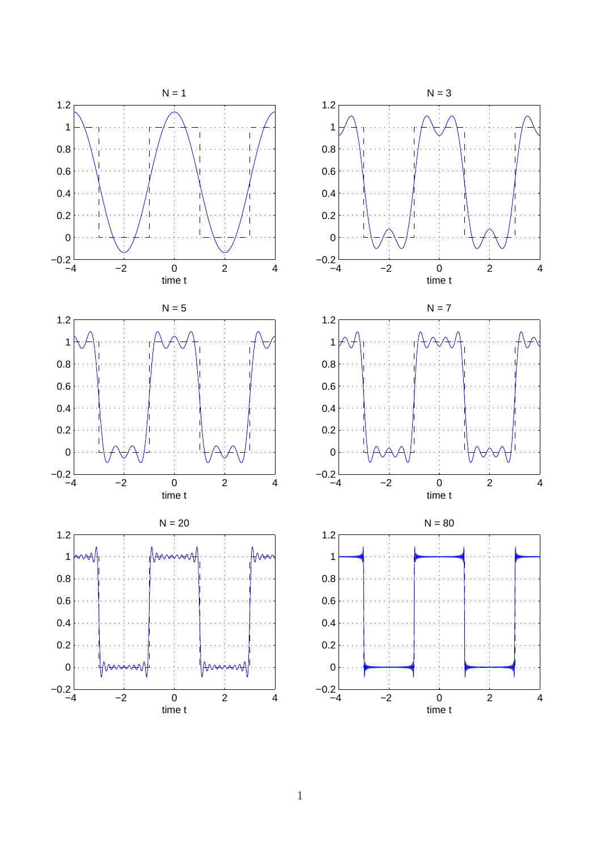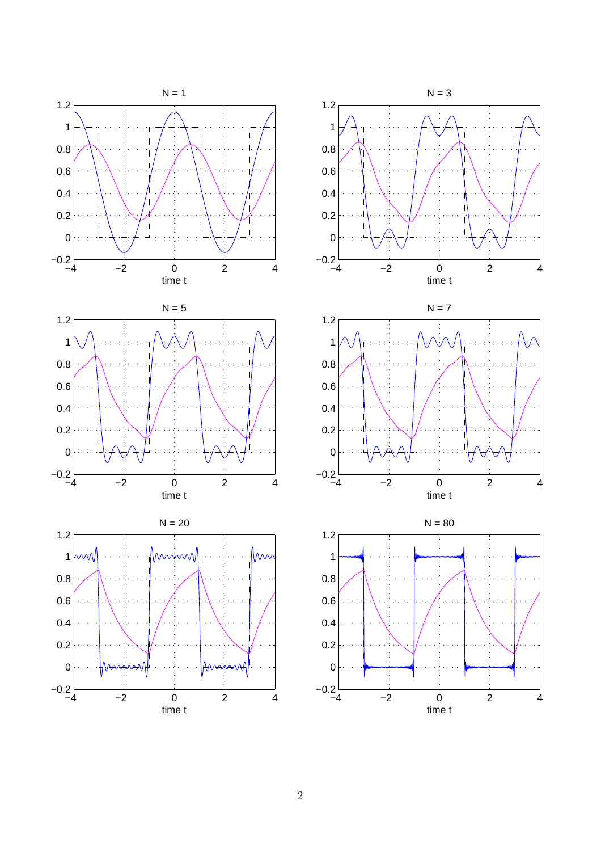